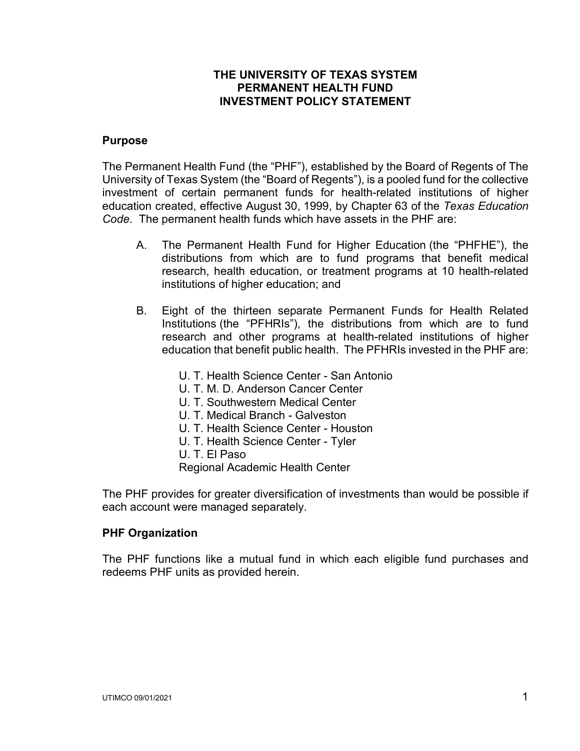## **THE UNIVERSITY OF TEXAS SYSTEM PERMANENT HEALTH FUND INVESTMENT POLICY STATEMENT**

#### **Purpose**

The Permanent Health Fund (the "PHF"), established by the Board of Regents of The University of Texas System (the "Board of Regents"), is a pooled fund for the collective investment of certain permanent funds for health-related institutions of higher education created, effective August 30, 1999, by Chapter 63 of the *Texas Education Code*. The permanent health funds which have assets in the PHF are:

- A. The Permanent Health Fund for Higher Education (the "PHFHE"), the distributions from which are to fund programs that benefit medical research, health education, or treatment programs at 10 health-related institutions of higher education; and
- B. Eight of the thirteen separate Permanent Funds for Health Related Institutions (the "PFHRIs"), the distributions from which are to fund research and other programs at health-related institutions of higher education that benefit public health. The PFHRIs invested in the PHF are:
	- U. T. Health Science Center San Antonio
	- U. T. M. D. Anderson Cancer Center
	- U. T. Southwestern Medical Center
	- U. T. Medical Branch Galveston
	- U. T. Health Science Center Houston
	- U. T. Health Science Center Tyler
	- U. T. El Paso

Regional Academic Health Center

The PHF provides for greater diversification of investments than would be possible if each account were managed separately.

#### **PHF Organization**

The PHF functions like a mutual fund in which each eligible fund purchases and redeems PHF units as provided herein.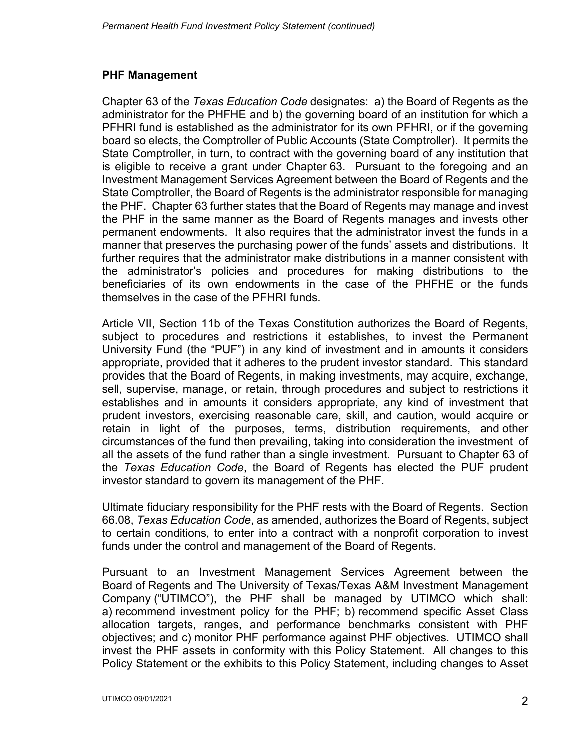# **PHF Management**

Chapter 63 of the *Texas Education Code* designates: a) the Board of Regents as the administrator for the PHFHE and b) the governing board of an institution for which a PFHRI fund is established as the administrator for its own PFHRI, or if the governing board so elects, the Comptroller of Public Accounts (State Comptroller). It permits the State Comptroller, in turn, to contract with the governing board of any institution that is eligible to receive a grant under Chapter 63. Pursuant to the foregoing and an Investment Management Services Agreement between the Board of Regents and the State Comptroller, the Board of Regents is the administrator responsible for managing the PHF. Chapter 63 further states that the Board of Regents may manage and invest the PHF in the same manner as the Board of Regents manages and invests other permanent endowments. It also requires that the administrator invest the funds in a manner that preserves the purchasing power of the funds' assets and distributions. It further requires that the administrator make distributions in a manner consistent with the administrator's policies and procedures for making distributions to the beneficiaries of its own endowments in the case of the PHFHE or the funds themselves in the case of the PFHRI funds.

Article VII, Section 11b of the Texas Constitution authorizes the Board of Regents, subject to procedures and restrictions it establishes, to invest the Permanent University Fund (the "PUF") in any kind of investment and in amounts it considers appropriate, provided that it adheres to the prudent investor standard. This standard provides that the Board of Regents, in making investments, may acquire, exchange, sell, supervise, manage, or retain, through procedures and subject to restrictions it establishes and in amounts it considers appropriate, any kind of investment that prudent investors, exercising reasonable care, skill, and caution, would acquire or retain in light of the purposes, terms, distribution requirements, and other circumstances of the fund then prevailing, taking into consideration the investment of all the assets of the fund rather than a single investment. Pursuant to Chapter 63 of the *Texas Education Code*, the Board of Regents has elected the PUF prudent investor standard to govern its management of the PHF.

Ultimate fiduciary responsibility for the PHF rests with the Board of Regents. Section 66.08, *Texas Education Code*, as amended, authorizes the Board of Regents, subject to certain conditions, to enter into a contract with a nonprofit corporation to invest funds under the control and management of the Board of Regents.

Pursuant to an Investment Management Services Agreement between the Board of Regents and The University of Texas/Texas A&M Investment Management Company ("UTIMCO"), the PHF shall be managed by UTIMCO which shall: a) recommend investment policy for the PHF; b) recommend specific Asset Class allocation targets, ranges, and performance benchmarks consistent with PHF objectives; and c) monitor PHF performance against PHF objectives. UTIMCO shall invest the PHF assets in conformity with this Policy Statement. All changes to this Policy Statement or the exhibits to this Policy Statement, including changes to Asset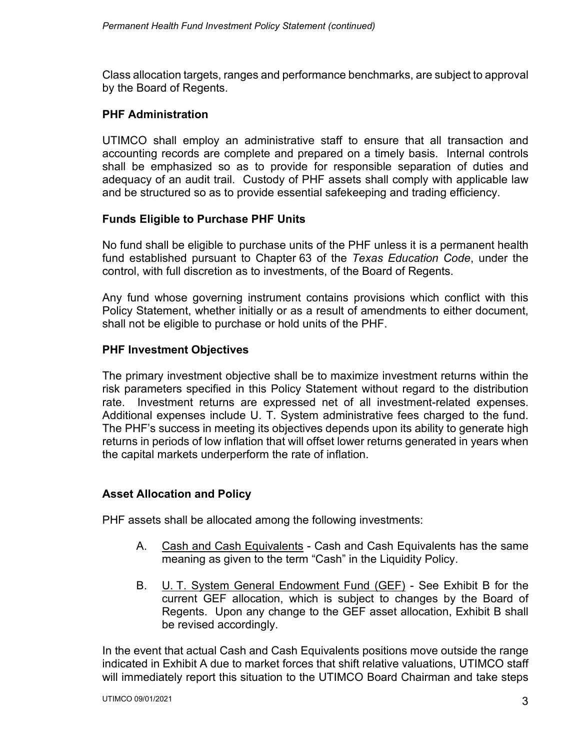Class allocation targets, ranges and performance benchmarks, are subject to approval by the Board of Regents.

### **PHF Administration**

UTIMCO shall employ an administrative staff to ensure that all transaction and accounting records are complete and prepared on a timely basis. Internal controls shall be emphasized so as to provide for responsible separation of duties and adequacy of an audit trail. Custody of PHF assets shall comply with applicable law and be structured so as to provide essential safekeeping and trading efficiency.

## **Funds Eligible to Purchase PHF Units**

No fund shall be eligible to purchase units of the PHF unless it is a permanent health fund established pursuant to Chapter 63 of the *Texas Education Code*, under the control, with full discretion as to investments, of the Board of Regents.

Any fund whose governing instrument contains provisions which conflict with this Policy Statement, whether initially or as a result of amendments to either document, shall not be eligible to purchase or hold units of the PHF.

### **PHF Investment Objectives**

The primary investment objective shall be to maximize investment returns within the risk parameters specified in this Policy Statement without regard to the distribution rate. Investment returns are expressed net of all investment-related expenses. Additional expenses include U. T. System administrative fees charged to the fund. The PHF's success in meeting its objectives depends upon its ability to generate high returns in periods of low inflation that will offset lower returns generated in years when the capital markets underperform the rate of inflation.

#### **Asset Allocation and Policy**

PHF assets shall be allocated among the following investments:

- A. Cash and Cash Equivalents Cash and Cash Equivalents has the same meaning as given to the term "Cash" in the Liquidity Policy.
- B. U. T. System General Endowment Fund (GEF) See Exhibit B for the current GEF allocation, which is subject to changes by the Board of Regents. Upon any change to the GEF asset allocation, Exhibit B shall be revised accordingly.

In the event that actual Cash and Cash Equivalents positions move outside the range indicated in Exhibit A due to market forces that shift relative valuations, UTIMCO staff will immediately report this situation to the UTIMCO Board Chairman and take steps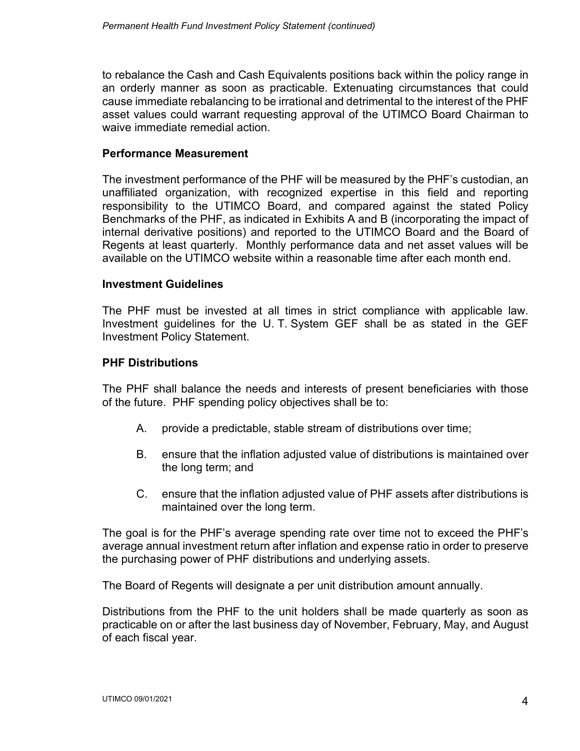to rebalance the Cash and Cash Equivalents positions back within the policy range in an orderly manner as soon as practicable. Extenuating circumstances that could cause immediate rebalancing to be irrational and detrimental to the interest of the PHF asset values could warrant requesting approval of the UTIMCO Board Chairman to waive immediate remedial action.

### **Performance Measurement**

The investment performance of the PHF will be measured by the PHF's custodian, an unaffiliated organization, with recognized expertise in this field and reporting responsibility to the UTIMCO Board, and compared against the stated Policy Benchmarks of the PHF, as indicated in Exhibits A and B (incorporating the impact of internal derivative positions) and reported to the UTIMCO Board and the Board of Regents at least quarterly. Monthly performance data and net asset values will be available on the UTIMCO website within a reasonable time after each month end.

### **Investment Guidelines**

The PHF must be invested at all times in strict compliance with applicable law. Investment guidelines for the U. T. System GEF shall be as stated in the GEF Investment Policy Statement.

### **PHF Distributions**

The PHF shall balance the needs and interests of present beneficiaries with those of the future. PHF spending policy objectives shall be to:

- A. provide a predictable, stable stream of distributions over time;
- B. ensure that the inflation adjusted value of distributions is maintained over the long term; and
- C. ensure that the inflation adjusted value of PHF assets after distributions is maintained over the long term.

The goal is for the PHF's average spending rate over time not to exceed the PHF's average annual investment return after inflation and expense ratio in order to preserve the purchasing power of PHF distributions and underlying assets.

The Board of Regents will designate a per unit distribution amount annually.

Distributions from the PHF to the unit holders shall be made quarterly as soon as practicable on or after the last business day of November, February, May, and August of each fiscal year.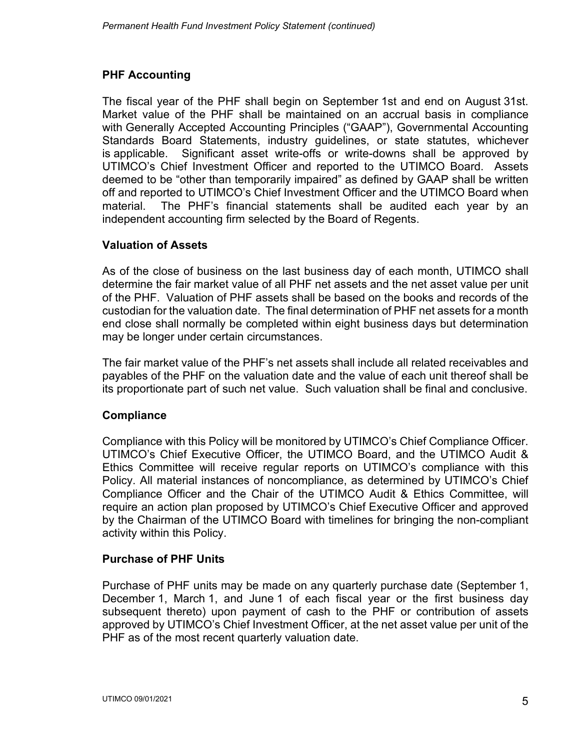# **PHF Accounting**

The fiscal year of the PHF shall begin on September 1st and end on August 31st. Market value of the PHF shall be maintained on an accrual basis in compliance with Generally Accepted Accounting Principles ("GAAP"), Governmental Accounting Standards Board Statements, industry guidelines, or state statutes, whichever is applicable. Significant asset write-offs or write-downs shall be approved by UTIMCO's Chief Investment Officer and reported to the UTIMCO Board. Assets deemed to be "other than temporarily impaired" as defined by GAAP shall be written off and reported to UTIMCO's Chief Investment Officer and the UTIMCO Board when material. The PHF's financial statements shall be audited each year by an independent accounting firm selected by the Board of Regents.

# **Valuation of Assets**

As of the close of business on the last business day of each month, UTIMCO shall determine the fair market value of all PHF net assets and the net asset value per unit of the PHF. Valuation of PHF assets shall be based on the books and records of the custodian for the valuation date. The final determination of PHF net assets for a month end close shall normally be completed within eight business days but determination may be longer under certain circumstances.

The fair market value of the PHF's net assets shall include all related receivables and payables of the PHF on the valuation date and the value of each unit thereof shall be its proportionate part of such net value. Such valuation shall be final and conclusive.

## **Compliance**

Compliance with this Policy will be monitored by UTIMCO's Chief Compliance Officer. UTIMCO's Chief Executive Officer, the UTIMCO Board, and the UTIMCO Audit & Ethics Committee will receive regular reports on UTIMCO's compliance with this Policy. All material instances of noncompliance, as determined by UTIMCO's Chief Compliance Officer and the Chair of the UTIMCO Audit & Ethics Committee, will require an action plan proposed by UTIMCO's Chief Executive Officer and approved by the Chairman of the UTIMCO Board with timelines for bringing the non-compliant activity within this Policy.

# **Purchase of PHF Units**

Purchase of PHF units may be made on any quarterly purchase date (September 1, December 1, March 1, and June 1 of each fiscal year or the first business day subsequent thereto) upon payment of cash to the PHF or contribution of assets approved by UTIMCO's Chief Investment Officer, at the net asset value per unit of the PHF as of the most recent quarterly valuation date.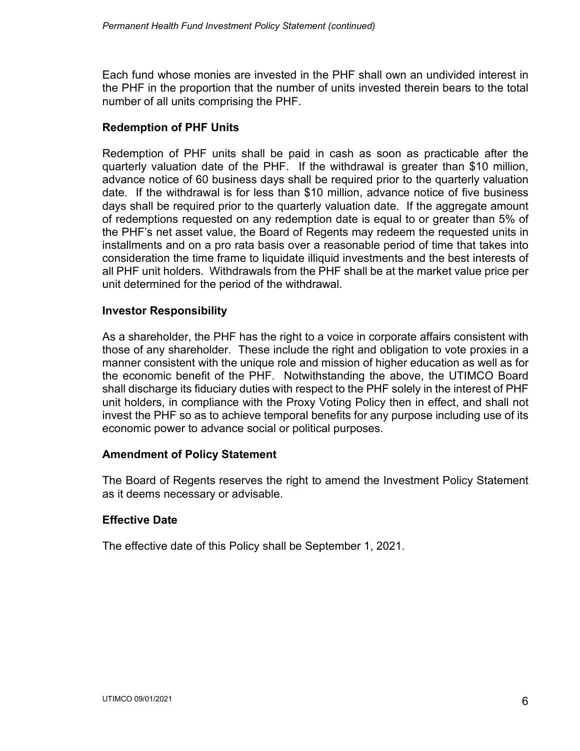Each fund whose monies are invested in the PHF shall own an undivided interest in the PHF in the proportion that the number of units invested therein bears to the total number of all units comprising the PHF.

### **Redemption of PHF Units**

Redemption of PHF units shall be paid in cash as soon as practicable after the quarterly valuation date of the PHF. If the withdrawal is greater than \$10 million, advance notice of 60 business days shall be required prior to the quarterly valuation date. If the withdrawal is for less than \$10 million, advance notice of five business days shall be required prior to the quarterly valuation date. If the aggregate amount of redemptions requested on any redemption date is equal to or greater than 5% of the PHF's net asset value, the Board of Regents may redeem the requested units in installments and on a pro rata basis over a reasonable period of time that takes into consideration the time frame to liquidate illiquid investments and the best interests of all PHF unit holders. Withdrawals from the PHF shall be at the market value price per unit determined for the period of the withdrawal.

#### **Investor Responsibility**

As a shareholder, the PHF has the right to a voice in corporate affairs consistent with those of any shareholder. These include the right and obligation to vote proxies in a manner consistent with the unique role and mission of higher education as well as for the economic benefit of the PHF. Notwithstanding the above, the UTIMCO Board shall discharge its fiduciary duties with respect to the PHF solely in the interest of PHF unit holders, in compliance with the Proxy Voting Policy then in effect, and shall not invest the PHF so as to achieve temporal benefits for any purpose including use of its economic power to advance social or political purposes.

#### **Amendment of Policy Statement**

The Board of Regents reserves the right to amend the Investment Policy Statement as it deems necessary or advisable.

## **Effective Date**

The effective date of this Policy shall be September 1, 2021.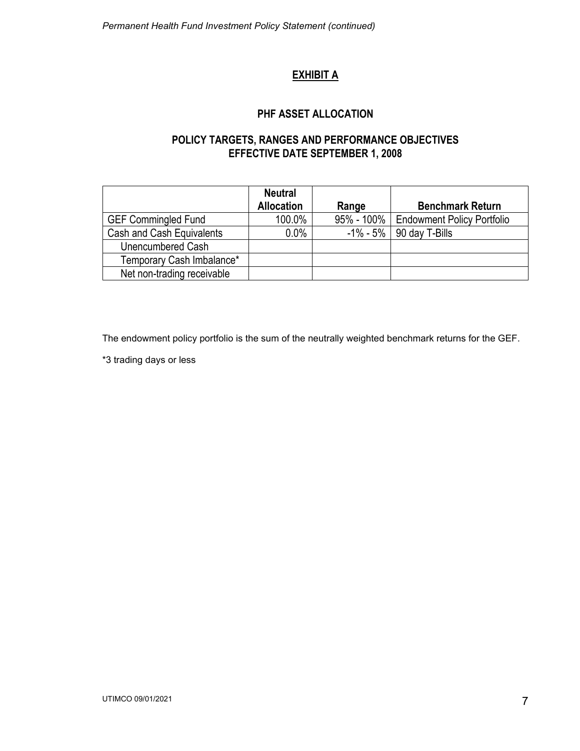# **EXHIBIT A**

### **PHF ASSET ALLOCATION**

## **POLICY TARGETS, RANGES AND PERFORMANCE OBJECTIVES EFFECTIVE DATE SEPTEMBER 1, 2008**

|                            | <b>Neutral</b><br><b>Allocation</b> | Range | <b>Benchmark Return</b>                 |
|----------------------------|-------------------------------------|-------|-----------------------------------------|
| <b>GEF Commingled Fund</b> | 100.0%                              |       | 95% - 100%   Endowment Policy Portfolio |
| Cash and Cash Equivalents  | $0.0\%$                             |       | $-1\% - 5\%$   90 day T-Bills           |
| Unencumbered Cash          |                                     |       |                                         |
| Temporary Cash Imbalance*  |                                     |       |                                         |
| Net non-trading receivable |                                     |       |                                         |

The endowment policy portfolio is the sum of the neutrally weighted benchmark returns for the GEF.

\*3 trading days or less